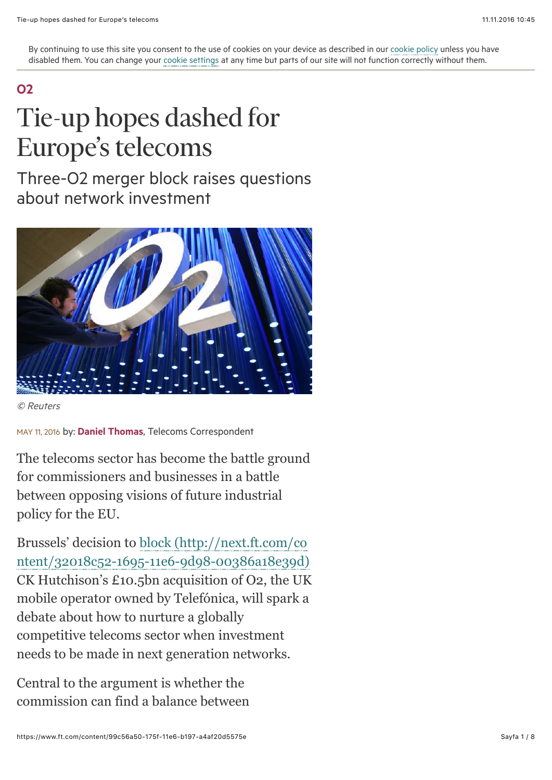By continuing to use this site you consent to the use of cookies on your device as described in our [cookie policy](http://help.ft.com/tools-services/how-the-ft-manages-cookies-on-its-websites/) unless you have disabled them. You can change your [cookie settings](http://help.ft.com/help/legal-privacy/cookies/how-to-manage-cookies/) at any time but parts of our site will not function correctly without them.

# [O2](https://www.ft.com/topics/organisations/O2_PLC)

# Tie-up hopes dashed for Europe's telecoms

Three-O2 merger block raises questions about network investment



© Reuters

MAY 11, 2016 by: [Daniel Thomas,](https://www.ft.com/stream/authorsId/Q0ItMDAwMDkwOA==-QXV0aG9ycw==) Telecoms Correspondent

The telecoms sector has become the battle ground for commissioners and businesses in a battle between opposing visions of future industrial policy for the EU.

Brussels' decision to block (http://next.ft.com/co [ntent/32018c52-1695-11e6-9d98-00386a18e39d\)](https://www.ft.com/content/32018c52-1695-11e6-9d98-00386a18e39d) CK Hutchison's £10.5bn acquisition of O2, the UK mobile operator owned by Telefónica, will spark a debate about how to nurture a globally competitive telecoms sector when investment needs to be made in next generation networks.

Central to the argument is whether the commission can find a balance between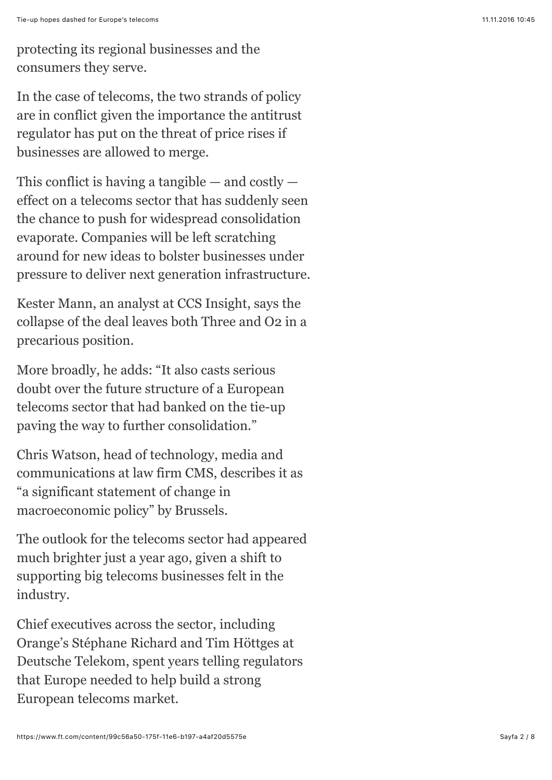In the case of telecoms, the two strands of policy are in conflict given the importance the antitrust regulator has put on the threat of price rises if businesses are allowed to merge.

This conflict is having a tangible  $-$  and costly  $$ effect on a telecoms sector that has suddenly seen the chance to push for widespread consolidation evaporate. Companies will be left scratching around for new ideas to bolster businesses under pressure to deliver next generation infrastructure.

Kester Mann, an analyst at CCS Insight, says the collapse of the deal leaves both Three and O2 in a precarious position.

More broadly, he adds: "It also casts serious doubt over the future structure of a European telecoms sector that had banked on the tie-up paving the way to further consolidation."

Chris Watson, head of technology, media and communications at law firm CMS, describes it as "a significant statement of change in macroeconomic policy" by Brussels.

The outlook for the telecoms sector had appeared much brighter just a year ago, given a shift to supporting big telecoms businesses felt in the industry.

Chief executives across the sector, including Orange's Stéphane Richard and Tim Höttges at Deutsche Telekom, spent years telling regulators that Europe needed to help build a strong European telecoms market.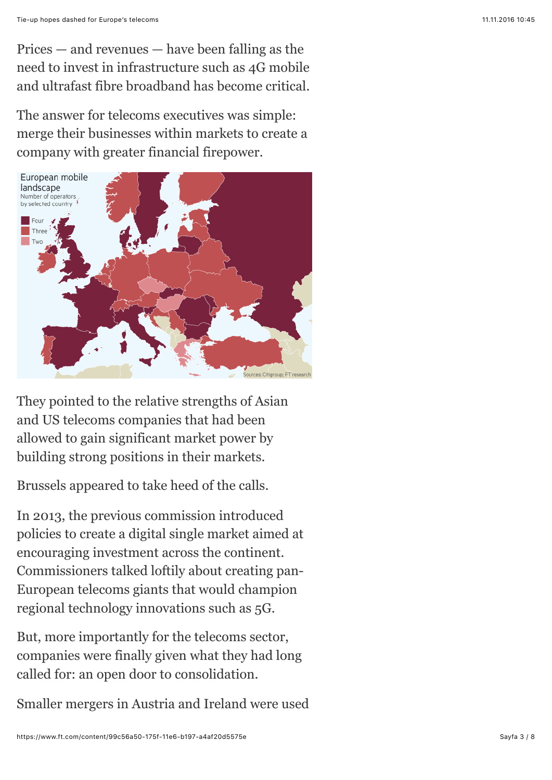Prices — and revenues — have been falling as the need to invest in infrastructure such as 4G mobile and ultrafast fibre broadband has become critical.

The answer for telecoms executives was simple: merge their businesses within markets to create a company with greater financial firepower.



They pointed to the relative strengths of Asian and US telecoms companies that had been allowed to gain significant market power by building strong positions in their markets.

Brussels appeared to take heed of the calls.

In 2013, the previous commission introduced policies to create a digital single market aimed at encouraging investment across the continent. Commissioners talked loftily about creating pan-European telecoms giants that would champion regional technology innovations such as 5G.

But, more importantly for the telecoms sector, companies were finally given what they had long called for: an open door to consolidation.

Smaller mergers in Austria and Ireland were used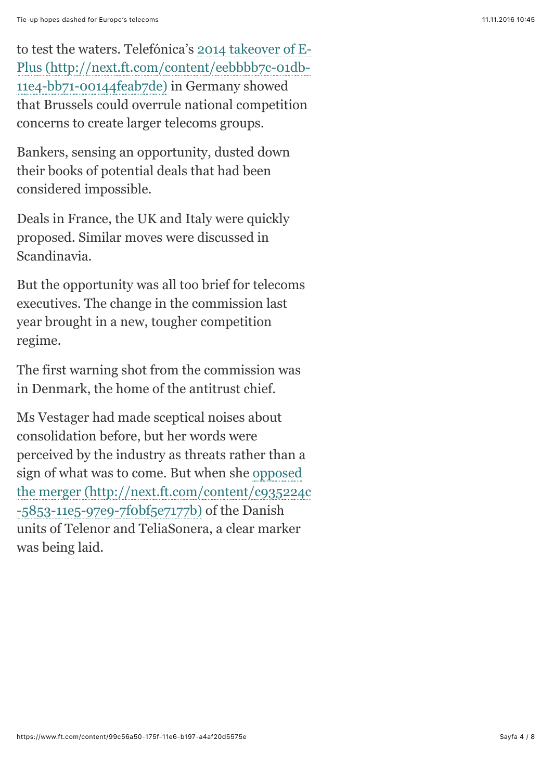[to test the waters. Telefónica's 2014 takeover of E-](https://www.ft.com/content/eebbbb7c-01db-11e4-bb71-00144feab7de)Plus (http://next.ft.com/content/eebbbb7c-01db-11e4-bb71-00144feab7de) in Germany showed that Brussels could overrule national competition concerns to create larger telecoms groups.

Bankers, sensing an opportunity, dusted down their books of potential deals that had been considered impossible.

Deals in France, the UK and Italy were quickly proposed. Similar moves were discussed in Scandinavia.

But the opportunity was all too brief for telecoms executives. The change in the commission last year brought in a new, tougher competition regime.

The first warning shot from the commission was in Denmark, the home of the antitrust chief.

Ms Vestager had made sceptical noises about consolidation before, but her words were perceived by the industry as threats rather than a sign of what was to come. But when she opposed [the merger \(http://next.ft.com/content/c935224c](https://www.ft.com/content/c935224c-5853-11e5-97e9-7f0bf5e7177b) -5853-11e5-97e9-7f0bf5e7177b) of the Danish units of Telenor and TeliaSonera, a clear marker was being laid.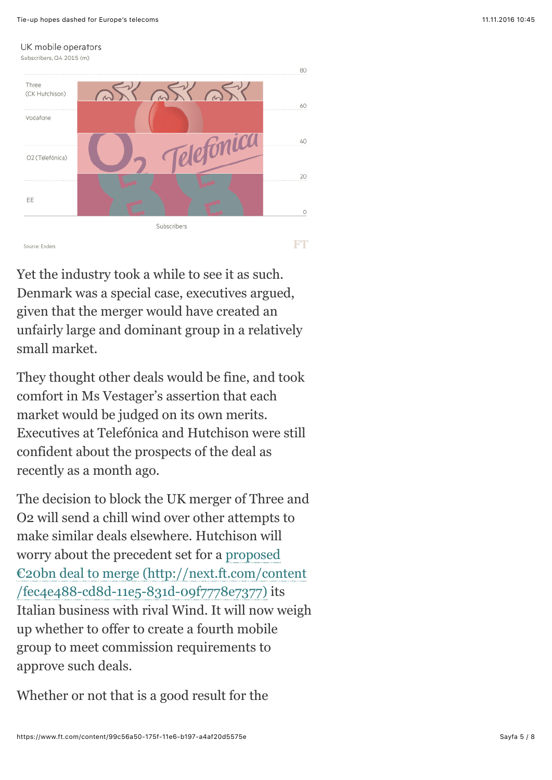#### Tie-up hopes dashed for Europe's telecoms 11.11.2016 10:45

#### UK mobile operators

Subscribers, Q4 2015 (m)



Yet the industry took a while to see it as such. Denmark was a special case, executives argued, given that the merger would have created an unfairly large and dominant group in a relatively small market.

They thought other deals would be fine, and took comfort in Ms Vestager's assertion that each market would be judged on its own merits. Executives at Telefónica and Hutchison were still confident about the prospects of the deal as recently as a month ago.

The decision to block the UK merger of Three and O2 will send a chill wind over other attempts to make similar deals elsewhere. Hutchison will worry about the precedent set for a proposed €[20bn deal to merge \(http://next.ft.com/content](https://www.ft.com/content/fec4e488-cd8d-11e5-831d-09f7778e7377) /fec4e488-cd8d-11e5-831d-09f7778e7377) its Italian business with rival Wind. It will now weigh up whether to offer to create a fourth mobile group to meet commission requirements to approve such deals.

Whether or not that is a good result for the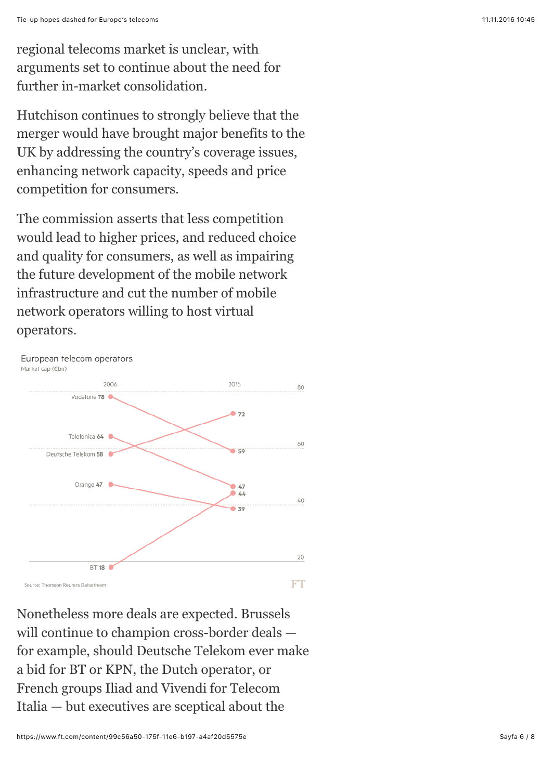regional telecoms market is unclear, with arguments set to continue about the need for further in-market consolidation.

Hutchison continues to strongly believe that the merger would have brought major benefits to the UK by addressing the country's coverage issues, enhancing network capacity, speeds and price competition for consumers.

The commission asserts that less competition would lead to higher prices, and reduced choice and quality for consumers, as well as impairing the future development of the mobile network infrastructure and cut the number of mobile network operators willing to host virtual operators.



Nonetheless more deals are expected. Brussels will continue to champion cross-border deals for example, should Deutsche Telekom ever make a bid for BT or KPN, the Dutch operator, or French groups Iliad and Vivendi for Telecom Italia — but executives are sceptical about the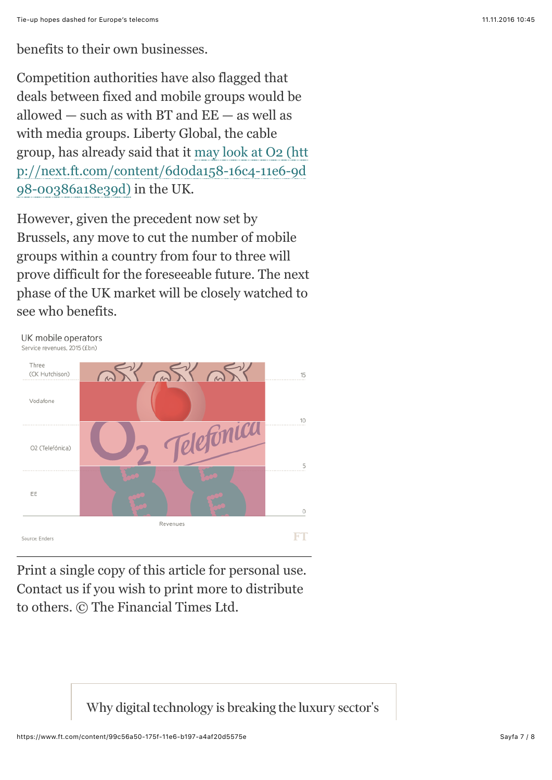Competition authorities have also flagged that deals between fixed and mobile groups would be allowed — such as with BT and EE — as well as with media groups. Liberty Global, the cable [group, has already said that it may look at O2 \(htt](https://www.ft.com/content/6d0da158-16c4-11e6-9d98-00386a18e39d) p://next.ft.com/content/6d0da158-16c4-11e6-9d 98-00386a18e39d) in the UK.

However, given the precedent now set by Brussels, any move to cut the number of mobile groups within a country from four to three will prove difficult for the foreseeable future. The next phase of the UK market will be closely watched to see who benefits.



Print a single copy of this article for personal use. Contact us if you wish to print more to distribute to others. © The Financial Times Ltd.

[Why digital technology is breaking the luxury sector's](http://adclick.g.doubleclick.net/pcs/click?xai=AKAOjstzvhIVNt1Qkl0aNwuu5WmH0iW2TC2pTZ1kHhQZ-AErFIEV7SIy-8uLL3cVciQ2sckbNC99sAdZ1D72JaYPJkOBcm3Z38uFDmFmlgI-wTmGgwf3u5_soZylo1K3phdoujc0-LAf6ALdsgeHpkCixh_PfpLDrefWDbTQPSqylkadZIZP5caUXy6eswW_o7hsS8gJYaO5Vi_-Vyof3b_Rd_mTYUb820eABt0M5o9QKxR6LuOB9GzmHQ&sig=Cg0ArKJSzE9BdS1wcvT5EAE&urlfix=1&adurl=http://capgemini.ft.com/trend-checking/why-digital-technology-is-breaking-the-luxury-sector-s-rules_f-94.html%3Futm_source%3DFTpromotedcontent%26utm_campaign%3Dsecure_assets%26utm_medium%3DDISPLAY)